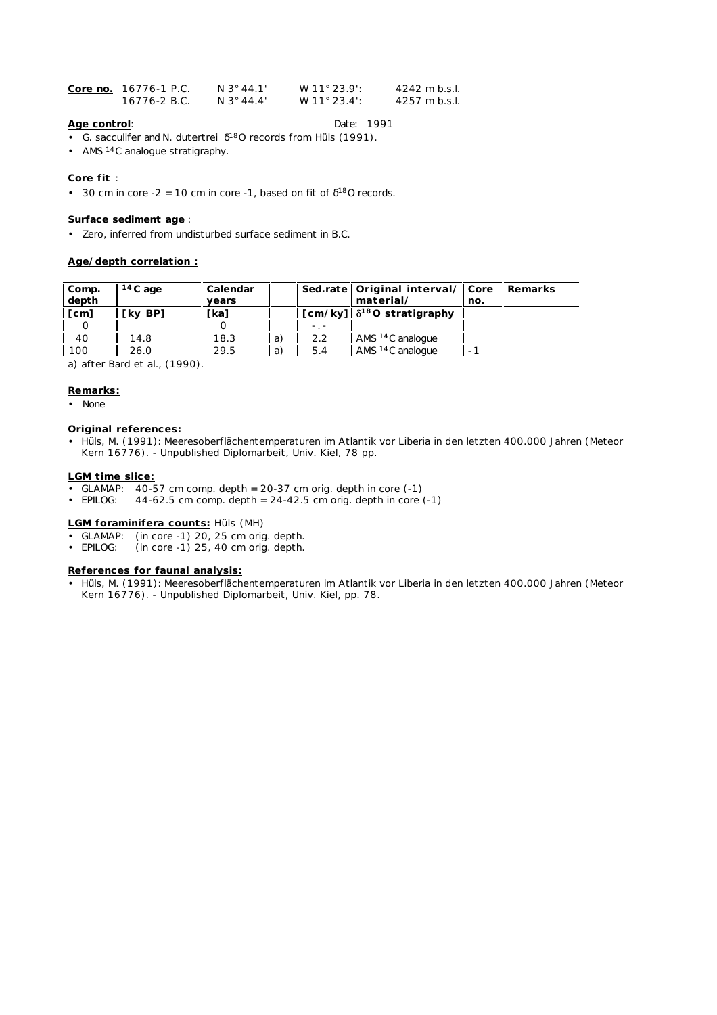| Core no. 16776-1 P.C. | N 3° 44.1' | $W$ 11° 23.9' | $4242$ m b.s.l.         |
|-----------------------|------------|---------------|-------------------------|
| 16776-2 B.C.          | N 3° 44.4' | W 11° 23.4':  | $4257 \text{ m}$ b.s.l. |

# **Age control**: Date: 1991

- *G. sacculifer* and *N. dutertrei* 18O records from Hüls (1991).
- AMS 14C analogue stratigraphy.

# **Core fit** :

• 30 cm in core  $-2 = 10$  cm in core  $-1$ , based on fit of  $180$  records.

## **Surface sediment age** :

• Zero, inferred from undisturbed surface sediment in B.C.

## **Age/depth correlation :**

| Comp.<br>depth | $14C$ age | Calendar<br>vears |    |     | Sed.rate   Original interval/ Core<br>material/     | no. | l Remarks |
|----------------|-----------|-------------------|----|-----|-----------------------------------------------------|-----|-----------|
| [cm]           | 「kv BP1   | [ka]              |    |     | $\lceil$ cm/ky] $\lceil \delta^{18}$ O stratigraphy |     |           |
|                |           |                   |    |     |                                                     |     |           |
| 40             | 14.8      | 18.3              | a) | 2.2 | AMS <sup>14</sup> C analogue                        |     |           |
| 100            | 26.0      | 29.5              | a) | 5.4 | AMS <sup>14</sup> C analogue                        |     |           |

a) after Bard et al., (1990).

### **Remarks:**

• None

# **Original references:**

• Hüls, M. (1991): Meeresoberflächentemperaturen im Atlantik vor Liberia in den letzten 400.000 Jahren (Meteor Kern 16776). - Unpublished Diplomarbeit, Univ. Kiel, 78 pp.

#### **LGM time slice:**

- GLAMAP:  $40-57$  cm comp. depth =  $20-37$  cm orig. depth in core  $(-1)$ <br>• EPILOG:  $44-62.5$  cm comp. depth =  $24-42.5$  cm orig. depth in core
- 44-62.5 cm comp. depth =  $24-42.5$  cm orig. depth in core  $(-1)$

#### **LGM foraminifera counts:** Hüls (MH)

- 
- GLAMAP: (in core -1) 20, 25 cm orig. depth.<br>• EPILOG: (in core -1) 25, 40 cm orig. depth.  $(in core -1)$  25, 40 cm orig. depth.

# **References for faunal analysis:**

• Hüls, M. (1991): Meeresoberflächentemperaturen im Atlantik vor Liberia in den letzten 400.000 Jahren (Meteor Kern 16776). - Unpublished Diplomarbeit, Univ. Kiel, pp. 78.